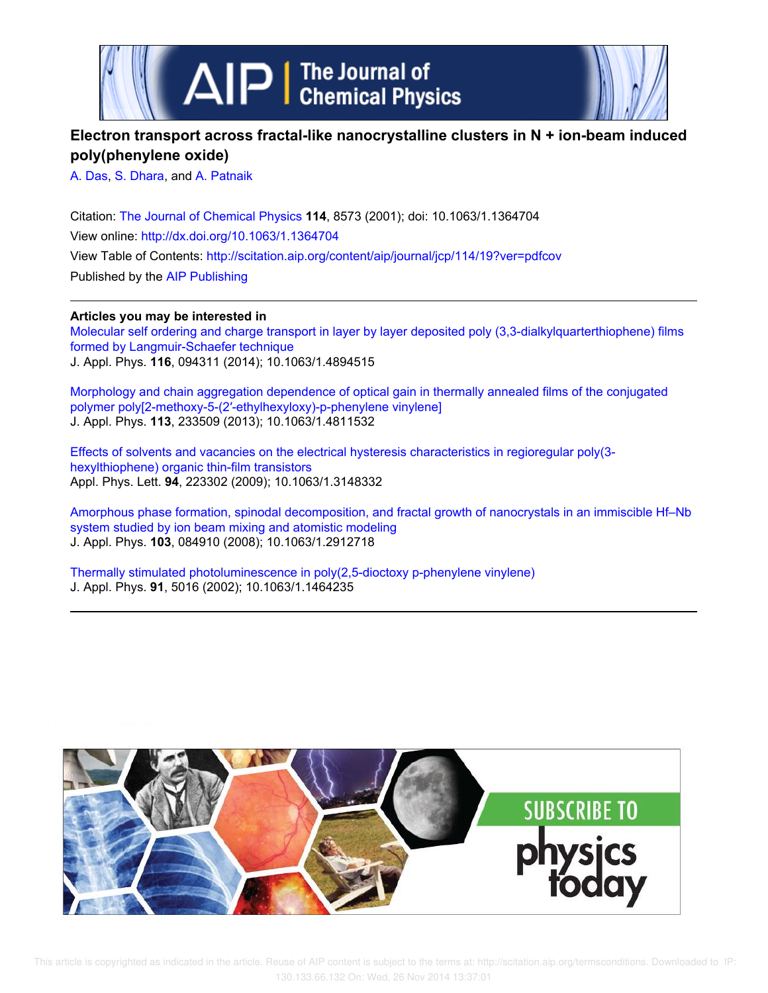

# **Electron transport across fractal-like nanocrystalline clusters in N + ion-beam induced poly(phenylene oxide)**

A. Das, S. Dhara, and A. Patnaik

Citation: The Journal of Chemical Physics **114**, 8573 (2001); doi: 10.1063/1.1364704 View online: http://dx.doi.org/10.1063/1.1364704 View Table of Contents: http://scitation.aip.org/content/aip/journal/jcp/114/19?ver=pdfcov Published by the AIP Publishing

**Articles you may be interested in** Molecular self ordering and charge transport in layer by layer deposited poly (3,3-dialkylquarterthiophene) films formed by Langmuir-Schaefer technique J. Appl. Phys. **116**, 094311 (2014); 10.1063/1.4894515

Morphology and chain aggregation dependence of optical gain in thermally annealed films of the conjugated polymer poly[2-methoxy-5-(2′-ethylhexyloxy)-p-phenylene vinylene] J. Appl. Phys. **113**, 233509 (2013); 10.1063/1.4811532

Effects of solvents and vacancies on the electrical hysteresis characteristics in regioregular poly(3 hexylthiophene) organic thin-film transistors Appl. Phys. Lett. **94**, 223302 (2009); 10.1063/1.3148332

Amorphous phase formation, spinodal decomposition, and fractal growth of nanocrystals in an immiscible Hf–Nb system studied by ion beam mixing and atomistic modeling J. Appl. Phys. **103**, 084910 (2008); 10.1063/1.2912718

Thermally stimulated photoluminescence in poly(2,5-dioctoxy p-phenylene vinylene) J. Appl. Phys. **91**, 5016 (2002); 10.1063/1.1464235

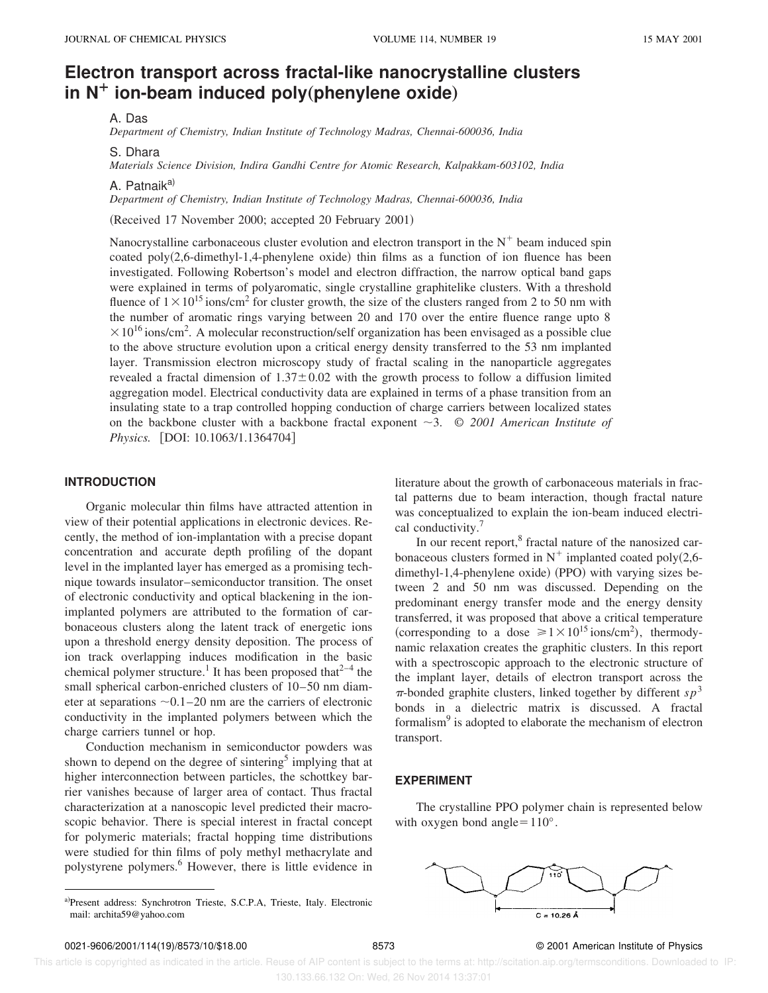# **Electron transport across fractal-like nanocrystalline clusters in N<sup>+</sup> ion-beam induced poly**(phenylene oxide)

A. Das

*Department of Chemistry, Indian Institute of Technology Madras, Chennai-600036, India*

S. Dhara

*Materials Science Division, Indira Gandhi Centre for Atomic Research, Kalpakkam-603102, India*

A. Patnaik<sup>a)</sup>

*Department of Chemistry, Indian Institute of Technology Madras, Chennai-600036, India*

(Received 17 November 2000; accepted 20 February 2001)

Nanocrystalline carbonaceous cluster evolution and electron transport in the  $N^+$  beam induced spin coated poly $(2,6$ -dimethyl-1,4-phenylene oxide) thin films as a function of ion fluence has been investigated. Following Robertson's model and electron diffraction, the narrow optical band gaps were explained in terms of polyaromatic, single crystalline graphitelike clusters. With a threshold fluence of  $1 \times 10^{15}$  ions/cm<sup>2</sup> for cluster growth, the size of the clusters ranged from 2 to 50 nm with the number of aromatic rings varying between 20 and 170 over the entire fluence range upto 8  $\times 10^{16}$  ions/cm<sup>2</sup>. A molecular reconstruction/self organization has been envisaged as a possible clue to the above structure evolution upon a critical energy density transferred to the 53 nm implanted layer. Transmission electron microscopy study of fractal scaling in the nanoparticle aggregates revealed a fractal dimension of  $1.37 \pm 0.02$  with the growth process to follow a diffusion limited aggregation model. Electrical conductivity data are explained in terms of a phase transition from an insulating state to a trap controlled hopping conduction of charge carriers between localized states on the backbone cluster with a backbone fractal exponent  $\sim$ 3. © 2001 American Institute of *Physics.* [DOI: 10.1063/1.1364704]

## **INTRODUCTION**

Organic molecular thin films have attracted attention in view of their potential applications in electronic devices. Recently, the method of ion-implantation with a precise dopant concentration and accurate depth profiling of the dopant level in the implanted layer has emerged as a promising technique towards insulator–semiconductor transition. The onset of electronic conductivity and optical blackening in the ionimplanted polymers are attributed to the formation of carbonaceous clusters along the latent track of energetic ions upon a threshold energy density deposition. The process of ion track overlapping induces modification in the basic chemical polymer structure.<sup>1</sup> It has been proposed that<sup>2-4</sup> the small spherical carbon-enriched clusters of 10–50 nm diameter at separations  $\sim 0.1-20$  nm are the carriers of electronic conductivity in the implanted polymers between which the charge carriers tunnel or hop.

Conduction mechanism in semiconductor powders was shown to depend on the degree of sintering<sup>5</sup> implying that at higher interconnection between particles, the schottkey barrier vanishes because of larger area of contact. Thus fractal characterization at a nanoscopic level predicted their macroscopic behavior. There is special interest in fractal concept for polymeric materials; fractal hopping time distributions were studied for thin films of poly methyl methacrylate and polystyrene polymers.<sup>6</sup> However, there is little evidence in

a)Present address: Synchrotron Trieste, S.C.P.A, Trieste, Italy. Electronic

literature about the growth of carbonaceous materials in fractal patterns due to beam interaction, though fractal nature was conceptualized to explain the ion-beam induced electrical conductivity.<sup>7</sup>

In our recent report,<sup>8</sup> fractal nature of the nanosized carbonaceous clusters formed in  $N^+$  implanted coated poly $(2,6$  $d$ imethyl-1,4-phenylene oxide) (PPO) with varying sizes between 2 and 50 nm was discussed. Depending on the predominant energy transfer mode and the energy density transferred, it was proposed that above a critical temperature (corresponding to a dose  $\ge 1 \times 10^{15}$  ions/cm<sup>2</sup>), thermodynamic relaxation creates the graphitic clusters. In this report with a spectroscopic approach to the electronic structure of the implant layer, details of electron transport across the  $\pi$ -bonded graphite clusters, linked together by different  $sp^3$ bonds in a dielectric matrix is discussed. A fractal formalism<sup>9</sup> is adopted to elaborate the mechanism of electron transport.

#### **EXPERIMENT**

The crystalline PPO polymer chain is represented below with oxygen bond angle= $110^{\circ}$ .



mail: archita59@yahoo.com

 This article is copyrighted as indicated in the article. Reuse of AIP content is subject to the terms at: http://scitation.aip.org/termsconditions. Downloaded to IP: 130.133.66.132 On: Wed, 26 Nov 2014 13:37:01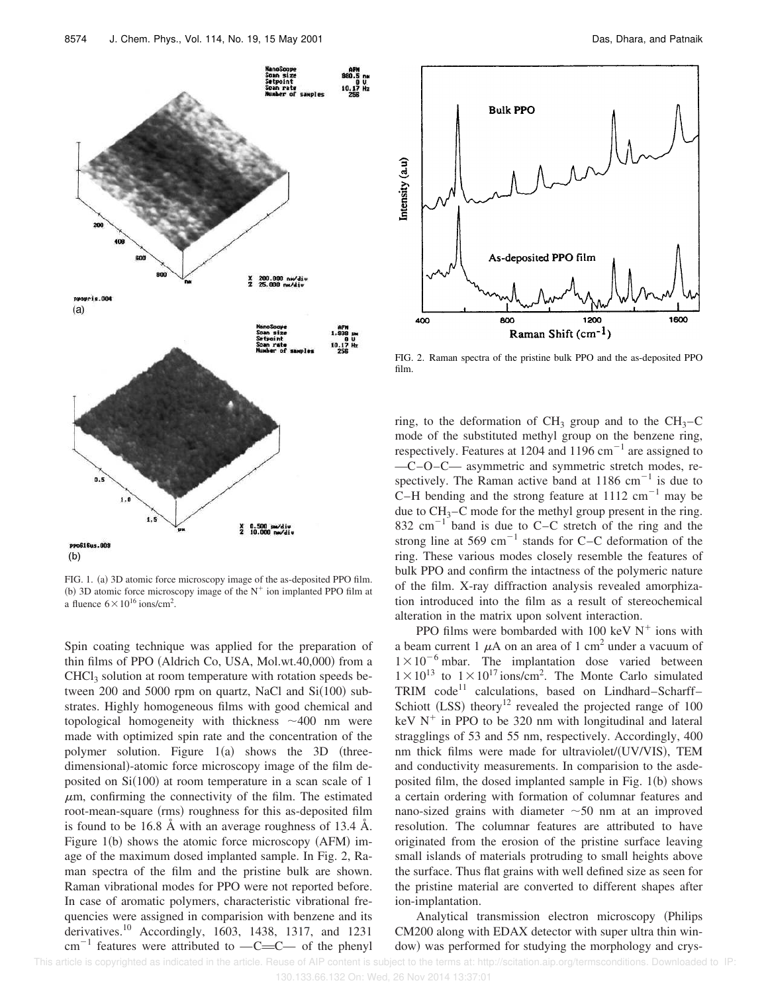

FIG. 1. (a) 3D atomic force microscopy image of the as-deposited PPO film. (b) 3D atomic force microscopy image of the  $N^+$  ion implanted PPO film at a fluence  $6 \times 10^{16}$  ions/cm<sup>2</sup>.

Spin coating technique was applied for the preparation of thin films of PPO  $(Aldrich Co, USA, Mol.wt.40,000)$  from a  $CHCl<sub>3</sub>$  solution at room temperature with rotation speeds between 200 and 5000 rpm on quartz, NaCl and  $Si(100)$  substrates. Highly homogeneous films with good chemical and topological homogeneity with thickness  $\sim$ 400 nm were made with optimized spin rate and the concentration of the polymer solution. Figure  $1(a)$  shows the 3D (threedimensional)-atomic force microscopy image of the film deposited on  $Si(100)$  at room temperature in a scan scale of 1  $\mu$ m, confirming the connectivity of the film. The estimated root-mean-square (rms) roughness for this as-deposited film is found to be 16.8 Å with an average roughness of 13.4 Å. Figure  $1(b)$  shows the atomic force microscopy (AFM) image of the maximum dosed implanted sample. In Fig. 2, Raman spectra of the film and the pristine bulk are shown. Raman vibrational modes for PPO were not reported before. In case of aromatic polymers, characteristic vibrational frequencies were assigned in comparision with benzene and its derivatives.<sup>10</sup> Accordingly, 1603, 1438, 1317, and 1231  $cm^{-1}$  features were attributed to  $-C=C$  of the phenyl



FIG. 2. Raman spectra of the pristine bulk PPO and the as-deposited PPO film.

ring, to the deformation of  $CH_3$  group and to the  $CH_3-C$ mode of the substituted methyl group on the benzene ring, respectively. Features at 1204 and 1196 cm<sup>-1</sup> are assigned to —C–O–C— asymmetric and symmetric stretch modes, respectively. The Raman active band at  $1186 \text{ cm}^{-1}$  is due to C–H bending and the strong feature at  $1112 \text{ cm}^{-1}$  may be due to  $CH_3-C$  mode for the methyl group present in the ring. 832 cm<sup>-1</sup> band is due to C–C stretch of the ring and the strong line at 569 cm<sup>-1</sup> stands for C-C deformation of the ring. These various modes closely resemble the features of bulk PPO and confirm the intactness of the polymeric nature of the film. X-ray diffraction analysis revealed amorphization introduced into the film as a result of stereochemical alteration in the matrix upon solvent interaction.

PPO films were bombarded with 100 keV  $N^+$  ions with a beam current 1  $\mu$ A on an area of 1 cm<sup>2</sup> under a vacuum of  $1 \times 10^{-6}$  mbar. The implantation dose varied between  $1 \times 10^{13}$  to  $1 \times 10^{17}$  ions/cm<sup>2</sup>. The Monte Carlo simulated TRIM code<sup>11</sup> calculations, based on Lindhard–Scharff– Schiott  $(LSS)$  theory<sup>12</sup> revealed the projected range of 100 keV  $N^+$  in PPO to be 320 nm with longitudinal and lateral stragglings of 53 and 55 nm, respectively. Accordingly, 400 nm thick films were made for ultraviolet/(UV/VIS), TEM and conductivity measurements. In comparision to the asdeposited film, the dosed implanted sample in Fig.  $1(b)$  shows a certain ordering with formation of columnar features and nano-sized grains with diameter  $\sim 50$  nm at an improved resolution. The columnar features are attributed to have originated from the erosion of the pristine surface leaving small islands of materials protruding to small heights above the surface. Thus flat grains with well defined size as seen for the pristine material are converted to different shapes after ion-implantation.

Analytical transmission electron microscopy (Philips CM200 along with EDAX detector with super ultra thin window) was performed for studying the morphology and crys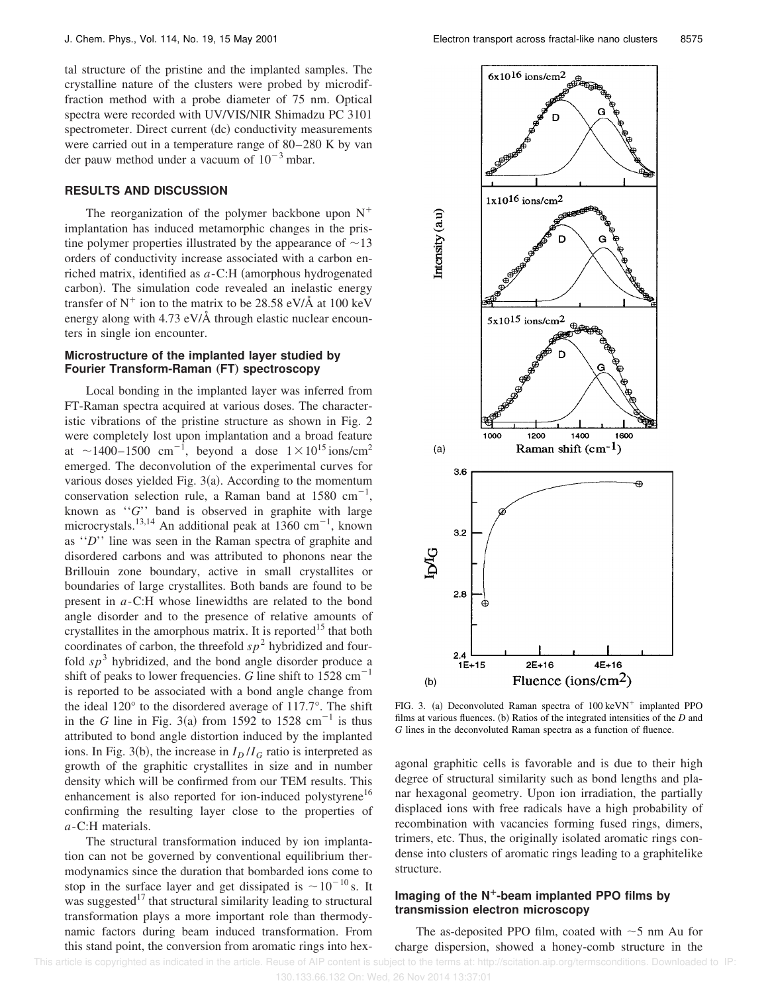tal structure of the pristine and the implanted samples. The crystalline nature of the clusters were probed by microdiffraction method with a probe diameter of 75 nm. Optical spectra were recorded with UV/VIS/NIR Shimadzu PC 3101 spectrometer. Direct current (dc) conductivity measurements were carried out in a temperature range of 80–280 K by van der pauw method under a vacuum of  $10^{-3}$  mbar.

#### **RESULTS AND DISCUSSION**

The reorganization of the polymer backbone upon  $N^+$ implantation has induced metamorphic changes in the pristine polymer properties illustrated by the appearance of  $\sim$ 13 orders of conductivity increase associated with a carbon enriched matrix, identified as  $a$ -C:H (amorphous hydrogenated carbon). The simulation code revealed an inelastic energy transfer of  $N^+$  ion to the matrix to be 28.58 eV/Å at 100 keV energy along with 4.73 eV/Å through elastic nuclear encounters in single ion encounter.

## **Microstructure of the implanted layer studied by Fourier Transform-Raman (FT) spectroscopy**

Local bonding in the implanted layer was inferred from FT-Raman spectra acquired at various doses. The characteristic vibrations of the pristine structure as shown in Fig. 2 were completely lost upon implantation and a broad feature at  $\sim$ 1400–1500 cm<sup>-1</sup>, beyond a dose  $1 \times 10^{15}$  ions/cm<sup>2</sup> emerged. The deconvolution of the experimental curves for various doses yielded Fig.  $3(a)$ . According to the momentum conservation selection rule, a Raman band at  $1580 \text{ cm}^{-1}$ , known as ''*G*'' band is observed in graphite with large microcrystals.<sup>13,14</sup> An additional peak at 1360 cm<sup>-1</sup>, known as ''*D*'' line was seen in the Raman spectra of graphite and disordered carbons and was attributed to phonons near the Brillouin zone boundary, active in small crystallites or boundaries of large crystallites. Both bands are found to be present in *a*-C:H whose linewidths are related to the bond angle disorder and to the presence of relative amounts of crystallites in the amorphous matrix. It is reported<sup>15</sup> that both coordinates of carbon, the threefold  $sp<sup>2</sup>$  hybridized and fourfold  $sp<sup>3</sup>$  hybridized, and the bond angle disorder produce a shift of peaks to lower frequencies. *G* line shift to  $1528 \text{ cm}^{-1}$ is reported to be associated with a bond angle change from the ideal 120° to the disordered average of 117.7°. The shift in the *G* line in Fig. 3(a) from 1592 to 1528 cm<sup>-1</sup> is thus attributed to bond angle distortion induced by the implanted ions. In Fig. 3(b), the increase in  $I_D/I_G$  ratio is interpreted as growth of the graphitic crystallites in size and in number density which will be confirmed from our TEM results. This enhancement is also reported for ion-induced polystyrene<sup>16</sup> confirming the resulting layer close to the properties of *a*-C:H materials.

The structural transformation induced by ion implantation can not be governed by conventional equilibrium thermodynamics since the duration that bombarded ions come to stop in the surface layer and get dissipated is  $\sim 10^{-10}$  s. It was suggested<sup>17</sup> that structural similarity leading to structural transformation plays a more important role than thermodynamic factors during beam induced transformation. From this stand point, the conversion from aromatic rings into hex-



FIG. 3. (a) Deconvoluted Raman spectra of  $100 \text{ keVN}^+$  implanted PPO films at various fluences. (b) Ratios of the integrated intensities of the *D* and *G* lines in the deconvoluted Raman spectra as a function of fluence.

agonal graphitic cells is favorable and is due to their high degree of structural similarity such as bond lengths and planar hexagonal geometry. Upon ion irradiation, the partially displaced ions with free radicals have a high probability of recombination with vacancies forming fused rings, dimers, trimers, etc. Thus, the originally isolated aromatic rings condense into clusters of aromatic rings leading to a graphitelike structure.

# **Imaging of the N¿-beam implanted PPO films by transmission electron microscopy**

The as-deposited PPO film, coated with  $\sim$  5 nm Au for charge dispersion, showed a honey-comb structure in the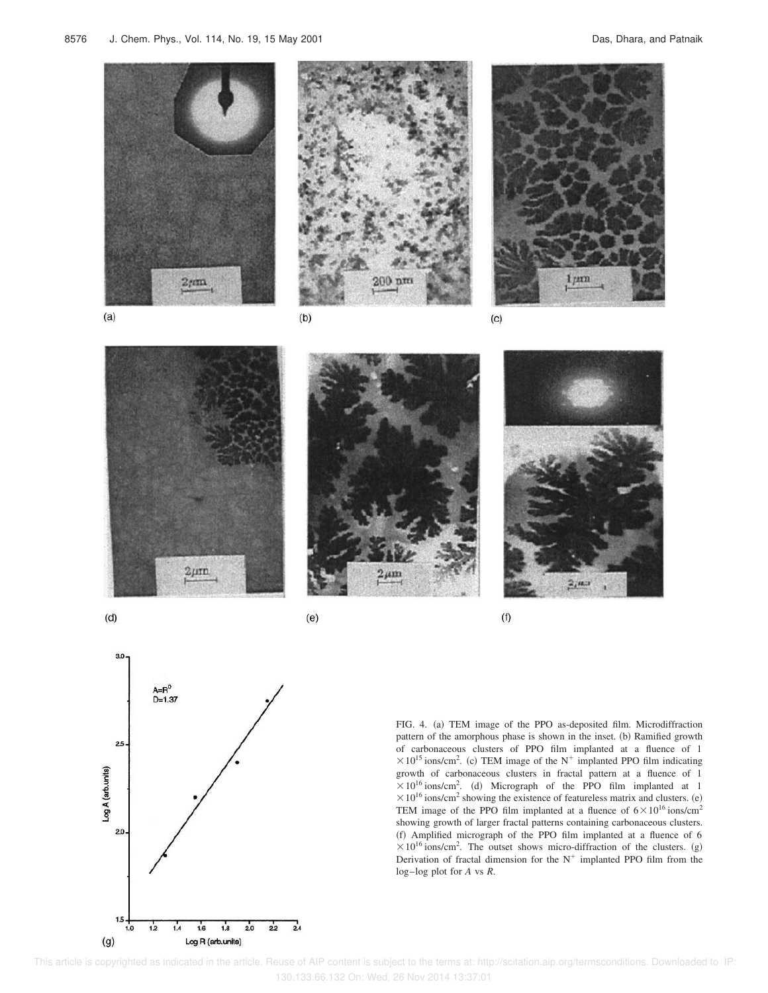



FIG. 4. (a) TEM image of the PPO as-deposited film. Microdiffraction pattern of the amorphous phase is shown in the inset. (b) Ramified growth of carbonaceous clusters of PPO film implanted at a fluence of 1  $\times 10^{15}$  ions/cm<sup>2</sup>. (c) TEM image of the N<sup>+</sup> implanted PPO film indicating growth of carbonaceous clusters in fractal pattern at a fluence of 1  $\times 10^{16}$  ions/cm<sup>2</sup>. (d) Micrograph of the PPO film implanted at 1  $\times 10^{16}$  ions/cm<sup>2</sup> showing the existence of featureless matrix and clusters. (e) TEM image of the PPO film implanted at a fluence of  $6 \times 10^{16}$  ions/cm<sup>2</sup> showing growth of larger fractal patterns containing carbonaceous clusters. (f) Amplified micrograph of the PPO film implanted at a fluence of 6  $\times 10^{16}$  ions/cm<sup>2</sup>. The outset shows micro-diffraction of the clusters. (g) Derivation of fractal dimension for the  $N^+$  implanted PPO film from the log–log plot for *A* vs *R*.

 This article is copyrighted as indicated in the article. Reuse of AIP content is subject to the terms at: http://scitation.aip.org/termsconditions. Downloaded to IP: 130.133.66.132 On: Wed, 26 Nov 2014 13:37:01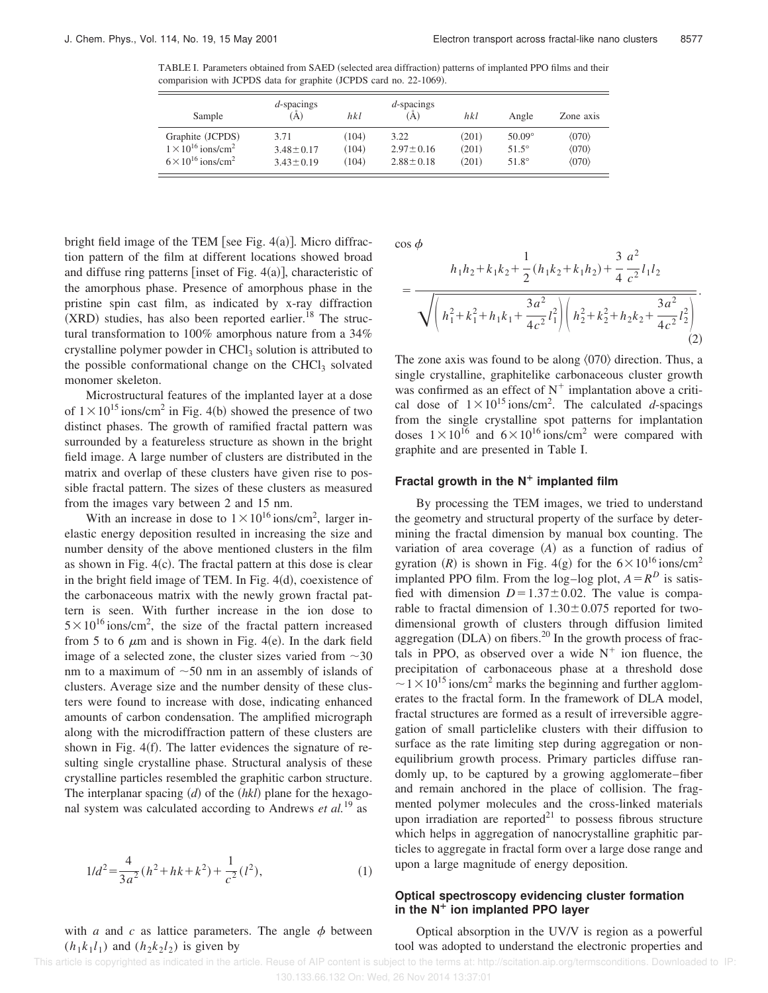TABLE I. Parameters obtained from SAED (selected area diffraction) patterns of implanted PPO films and their comparision with JCPDS data for graphite (JCPDS card no. 22-1069).

| Sample                                  | d-spacings<br>`À) | hkl   | $d$ -spacings<br>(Ă) | hkl   | Angle         | Zone axis             |
|-----------------------------------------|-------------------|-------|----------------------|-------|---------------|-----------------------|
| Graphite (JCPDS)                        | 3.71              | (104) | 3.22                 | (201) | $50.09^\circ$ | $\langle 070 \rangle$ |
| $1 \times 10^{16}$ ions/cm <sup>2</sup> | $3.48 \pm 0.17$   | (104) | $2.97 \pm 0.16$      | (201) | $51.5^\circ$  | $\langle 070 \rangle$ |
| $6 \times 10^{16}$ ions/cm <sup>2</sup> | $3.43 \pm 0.19$   | (104) | $2.88 \pm 0.18$      | (201) | $51.8^\circ$  | $\langle 070 \rangle$ |

bright field image of the TEM [see Fig.  $4(a)$ ]. Micro diffraction pattern of the film at different locations showed broad and diffuse ring patterns [inset of Fig.  $4(a)$ ], characteristic of the amorphous phase. Presence of amorphous phase in the pristine spin cast film, as indicated by x-ray diffraction  $(XRD)$  studies, has also been reported earlier.<sup>18</sup> The structural transformation to 100% amorphous nature from a 34% crystalline polymer powder in CHCl<sub>3</sub> solution is attributed to the possible conformational change on the CHCl $_3$  solvated monomer skeleton.

Microstructural features of the implanted layer at a dose of  $1 \times 10^{15}$  ions/cm<sup>2</sup> in Fig. 4(b) showed the presence of two distinct phases. The growth of ramified fractal pattern was surrounded by a featureless structure as shown in the bright field image. A large number of clusters are distributed in the matrix and overlap of these clusters have given rise to possible fractal pattern. The sizes of these clusters as measured from the images vary between 2 and 15 nm.

With an increase in dose to  $1 \times 10^{16}$  ions/cm<sup>2</sup>, larger inelastic energy deposition resulted in increasing the size and number density of the above mentioned clusters in the film as shown in Fig.  $4(c)$ . The fractal pattern at this dose is clear in the bright field image of TEM. In Fig.  $4(d)$ , coexistence of the carbonaceous matrix with the newly grown fractal pattern is seen. With further increase in the ion dose to  $5 \times 10^{16}$  ions/cm<sup>2</sup>, the size of the fractal pattern increased from 5 to 6  $\mu$ m and is shown in Fig. 4(e). In the dark field image of a selected zone, the cluster sizes varied from  $\sim$ 30 nm to a maximum of  $\sim$ 50 nm in an assembly of islands of clusters. Average size and the number density of these clusters were found to increase with dose, indicating enhanced amounts of carbon condensation. The amplified micrograph along with the microdiffraction pattern of these clusters are shown in Fig.  $4(f)$ . The latter evidences the signature of resulting single crystalline phase. Structural analysis of these crystalline particles resembled the graphitic carbon structure. The interplanar spacing  $(d)$  of the  $(hkl)$  plane for the hexagonal system was calculated according to Andrews *et al.*<sup>19</sup> as

$$
1/d^2 = \frac{4}{3a^2} (h^2 + hk + k^2) + \frac{1}{c^2} (l^2),
$$
 (1)

with *a* and *c* as lattice parameters. The angle  $\phi$  between  $(h_1 k_1 l_1)$  and  $(h_2 k_2 l_2)$  is given by

 $\cos \phi$ 

$$
= \frac{h_1 h_2 + k_1 k_2 + \frac{1}{2} (h_1 k_2 + k_1 h_2) + \frac{3}{4} \frac{a^2}{c^2} l_1 l_2}{\sqrt{\left(h_1^2 + k_1^2 + h_1 k_1 + \frac{3a^2}{4c^2} l_1^2\right) \left(h_2^2 + k_2^2 + h_2 k_2 + \frac{3a^2}{4c^2} l_2^2\right)}}.
$$
\n(2)

The zone axis was found to be along  $\langle 070 \rangle$  direction. Thus, a single crystalline, graphitelike carbonaceous cluster growth was confirmed as an effect of  $N^+$  implantation above a critical dose of  $1 \times 10^{15}$  ions/cm<sup>2</sup>. The calculated *d*-spacings from the single crystalline spot patterns for implantation doses  $1 \times 10^{16}$  and  $6 \times 10^{16}$  ions/cm<sup>2</sup> were compared with graphite and are presented in Table I.

### **Fractal growth in the N¿ implanted film**

By processing the TEM images, we tried to understand the geometry and structural property of the surface by determining the fractal dimension by manual box counting. The variation of area coverage  $(A)$  as a function of radius of gyration (R) is shown in Fig. 4(g) for the  $6 \times 10^{16}$  ions/cm<sup>2</sup> implanted PPO film. From the log–log plot,  $A = R^D$  is satisfied with dimension  $D=1.37\pm0.02$ . The value is comparable to fractal dimension of  $1.30 \pm 0.075$  reported for twodimensional growth of clusters through diffusion limited aggregation  $(DLA)$  on fibers.<sup>20</sup> In the growth process of fractals in PPO, as observed over a wide  $N^+$  ion fluence, the precipitation of carbonaceous phase at a threshold dose  $\sim$  1  $\times$  10<sup>15</sup> ions/cm<sup>2</sup> marks the beginning and further agglomerates to the fractal form. In the framework of DLA model, fractal structures are formed as a result of irreversible aggregation of small particlelike clusters with their diffusion to surface as the rate limiting step during aggregation or nonequilibrium growth process. Primary particles diffuse randomly up, to be captured by a growing agglomerate–fiber and remain anchored in the place of collision. The fragmented polymer molecules and the cross-linked materials upon irradiation are reported $21$  to possess fibrous structure which helps in aggregation of nanocrystalline graphitic particles to aggregate in fractal form over a large dose range and upon a large magnitude of energy deposition.

## **Optical spectroscopy evidencing cluster formation in the N¿ ion implanted PPO layer**

Optical absorption in the UV/V is region as a powerful tool was adopted to understand the electronic properties and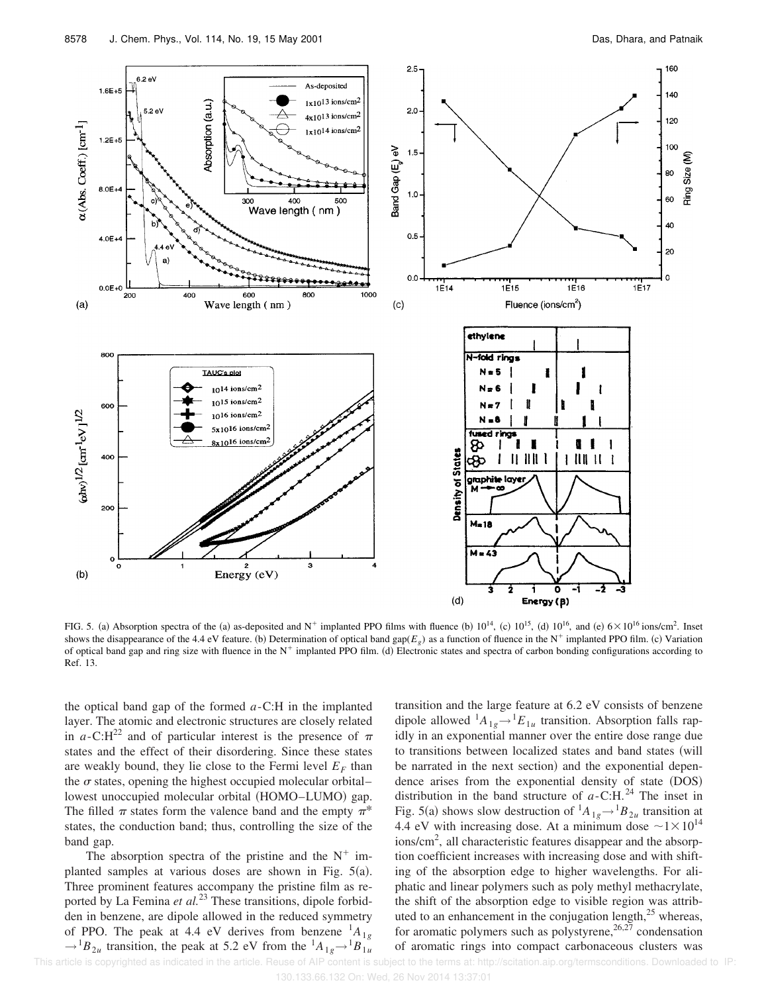

FIG. 5. (a) Absorption spectra of the (a) as-deposited and N<sup>+</sup> implanted PPO films with fluence (b)  $10^{14}$ , (c)  $10^{15}$ , (d)  $10^{16}$ , and (e)  $6 \times 10^{16}$  ions/cm<sup>2</sup>. Inset shows the disappearance of the 4.4 eV feature. (b) Determination of optical band gap( $E_g$ ) as a function of fluence in the N<sup>+</sup> implanted PPO film. (c) Variation of optical band gap and ring size with fluence in the  $N^+$  implanted PPO film. (d) Electronic states and spectra of carbon bonding configurations according to Ref. 13.

the optical band gap of the formed *a*-C:H in the implanted layer. The atomic and electronic structures are closely related in *a*-C:H<sup>22</sup> and of particular interest is the presence of  $\pi$ states and the effect of their disordering. Since these states are weakly bound, they lie close to the Fermi level  $E_F$  than the  $\sigma$  states, opening the highest occupied molecular orbital– lowest unoccupied molecular orbital (HOMO–LUMO) gap. The filled  $\pi$  states form the valence band and the empty  $\pi^*$ states, the conduction band; thus, controlling the size of the band gap.

The absorption spectra of the pristine and the  $N^+$  implanted samples at various doses are shown in Fig.  $5(a)$ . Three prominent features accompany the pristine film as reported by La Femina *et al.*<sup>23</sup> These transitions, dipole forbidden in benzene, are dipole allowed in the reduced symmetry of PPO. The peak at 4.4 eV derives from benzene  ${}^{1}A_{1g}$  $\rightarrow$ <sup>1</sup>B<sub>2*u*</sub> transition, the peak at 5.2 eV from the  $^{1}A_{1g} \rightarrow ^{1}B_{1u}$ 

transition and the large feature at 6.2 eV consists of benzene dipole allowed  ${}^{1}A_{1g} \rightarrow {}^{1}E_{1u}$  transition. Absorption falls rapidly in an exponential manner over the entire dose range due to transitions between localized states and band states (will be narrated in the next section) and the exponential dependence arises from the exponential density of state (DOS) distribution in the band structure of  $a$ -C:H.<sup>24</sup> The inset in Fig. 5(a) shows slow destruction of  ${}^{1}A_{1g} \rightarrow {}^{1}B_{2u}$  transition at 4.4 eV with increasing dose. At a minimum dose  $\sim 1 \times 10^{14}$ ions/cm<sup>2</sup>, all characteristic features disappear and the absorption coefficient increases with increasing dose and with shifting of the absorption edge to higher wavelengths. For aliphatic and linear polymers such as poly methyl methacrylate, the shift of the absorption edge to visible region was attributed to an enhancement in the conjugation length,<sup>25</sup> whereas, for aromatic polymers such as polystyrene,  $26.27$  condensation of aromatic rings into compact carbonaceous clusters was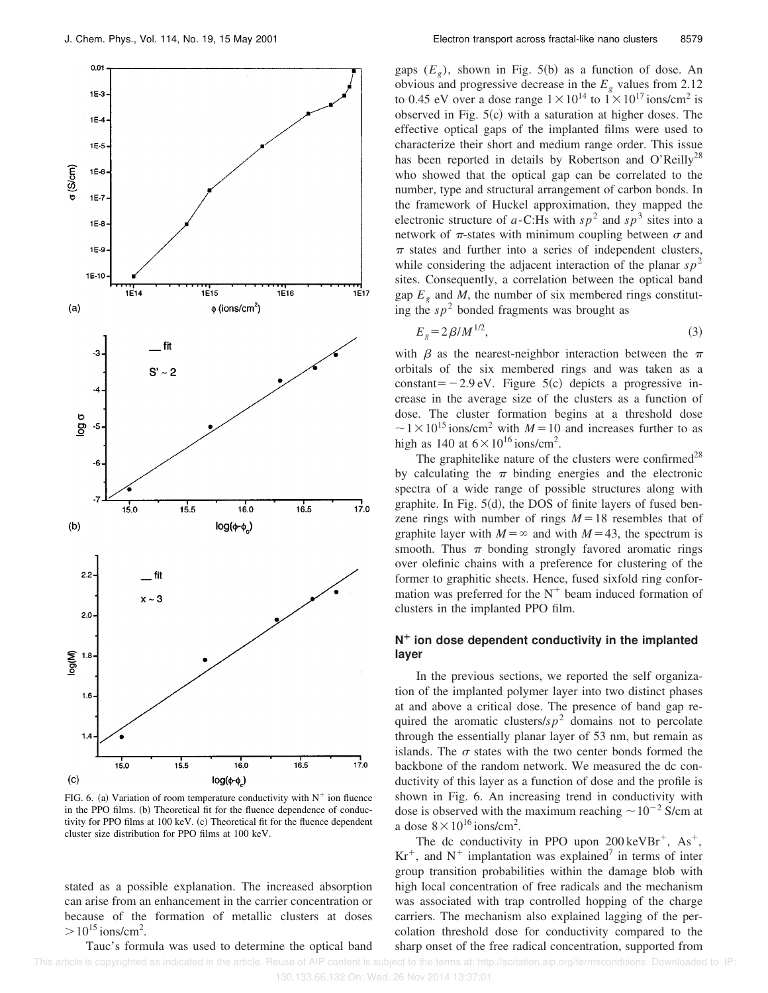

FIG. 6. (a) Variation of room temperature conductivity with  $N^+$  ion fluence in the PPO films. (b) Theoretical fit for the fluence dependence of conductivity for PPO films at 100 keV. (c) Theoretical fit for the fluence dependent cluster size distribution for PPO films at 100 keV.

stated as a possible explanation. The increased absorption can arise from an enhancement in the carrier concentration or because of the formation of metallic clusters at doses  $>$ 10<sup>15</sup> ions/cm<sup>2</sup>.

Tauc's formula was used to determine the optical band

gaps  $(E_g)$ , shown in Fig. 5(b) as a function of dose. An obvious and progressive decrease in the  $E<sub>g</sub>$  values from 2.12 to 0.45 eV over a dose range  $1 \times 10^{14}$  to  $1 \times 10^{17}$  ions/cm<sup>2</sup> is observed in Fig.  $5(c)$  with a saturation at higher doses. The effective optical gaps of the implanted films were used to characterize their short and medium range order. This issue has been reported in details by Robertson and O'Reilly<sup>28</sup> who showed that the optical gap can be correlated to the number, type and structural arrangement of carbon bonds. In the framework of Huckel approximation, they mapped the electronic structure of *a*-C:Hs with  $sp^2$  and  $sp^3$  sites into a network of  $\pi$ -states with minimum coupling between  $\sigma$  and  $\pi$  states and further into a series of independent clusters, while considering the adjacent interaction of the planar  $sp^2$ sites. Consequently, a correlation between the optical band gap  $E_g$  and *M*, the number of six membered rings constituting the  $sp<sup>2</sup>$  bonded fragments was brought as

$$
E_g = 2\beta / M^{1/2},\tag{3}
$$

with  $\beta$  as the nearest-neighbor interaction between the  $\pi$ orbitals of the six membered rings and was taken as a constant= $-2.9$  eV. Figure 5(c) depicts a progressive increase in the average size of the clusters as a function of dose. The cluster formation begins at a threshold dose  $\sim$  1 × 10<sup>15</sup> ions/cm<sup>2</sup> with *M* = 10 and increases further to as high as 140 at  $6 \times 10^{16}$  ions/cm<sup>2</sup>.

The graphitelike nature of the clusters were confirmed<sup>28</sup> by calculating the  $\pi$  binding energies and the electronic spectra of a wide range of possible structures along with graphite. In Fig.  $5(d)$ , the DOS of finite layers of fused benzene rings with number of rings  $M=18$  resembles that of graphite layer with  $M = \infty$  and with  $M = 43$ , the spectrum is smooth. Thus  $\pi$  bonding strongly favored aromatic rings over olefinic chains with a preference for clustering of the former to graphitic sheets. Hence, fused sixfold ring conformation was preferred for the  $N^+$  beam induced formation of clusters in the implanted PPO film.

## $N^+$  ion dose dependent conductivity in the implanted **layer**

In the previous sections, we reported the self organization of the implanted polymer layer into two distinct phases at and above a critical dose. The presence of band gap required the aromatic clusters/ $s p<sup>2</sup>$  domains not to percolate through the essentially planar layer of 53 nm, but remain as islands. The  $\sigma$  states with the two center bonds formed the backbone of the random network. We measured the dc conductivity of this layer as a function of dose and the profile is shown in Fig. 6. An increasing trend in conductivity with dose is observed with the maximum reaching  $\sim 10^{-2}$  S/cm at a dose  $8 \times 10^{16}$  ions/cm<sup>2</sup>.

The dc conductivity in PPO upon  $200 \text{ keVBr}^+$ , As<sup>+</sup>,  $Kr^{+}$ , and  $N^{+}$  implantation was explained<sup>7</sup> in terms of inter group transition probabilities within the damage blob with high local concentration of free radicals and the mechanism was associated with trap controlled hopping of the charge carriers. The mechanism also explained lagging of the percolation threshold dose for conductivity compared to the sharp onset of the free radical concentration, supported from

This article is copyrighted as indicated in the article. Reuse of AIP content is subject to the terms at: http://scitation.aip.org/termsconditions. Downloaded to IP: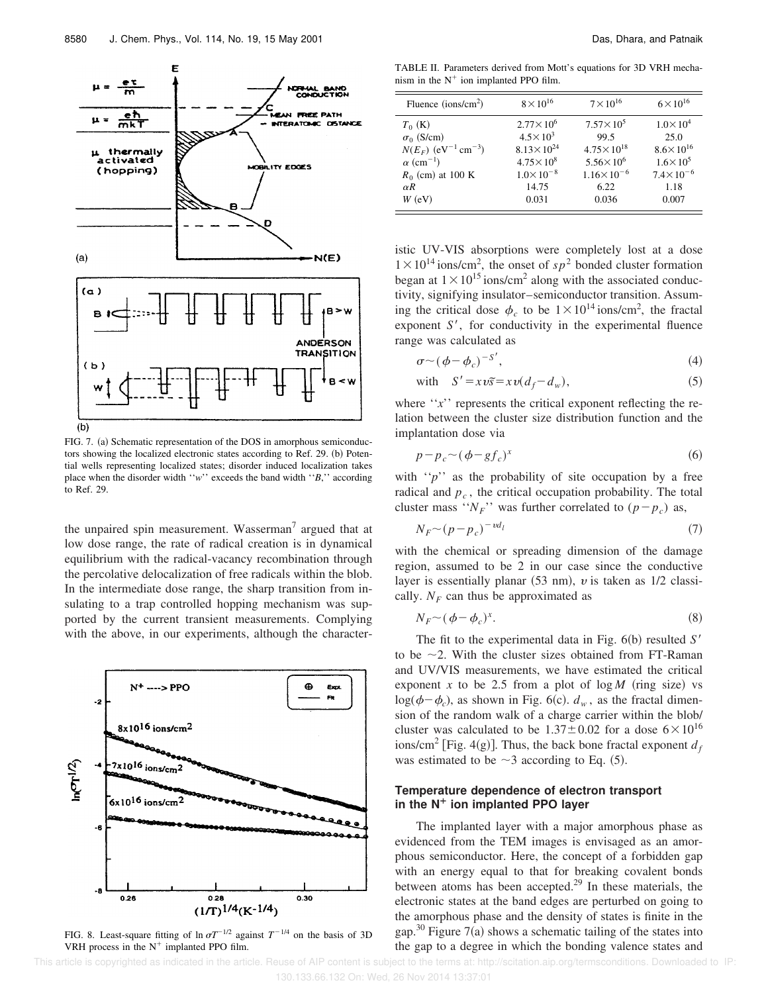

FIG. 7. (a) Schematic representation of the DOS in amorphous semiconductors showing the localized electronic states according to Ref. 29. (b) Potential wells representing localized states; disorder induced localization takes place when the disorder width ''*w*'' exceeds the band width ''*B*,'' according to Ref. 29.

the unpaired spin measurement. Wasserman<sup>7</sup> argued that at low dose range, the rate of radical creation is in dynamical equilibrium with the radical-vacancy recombination through the percolative delocalization of free radicals within the blob. In the intermediate dose range, the sharp transition from insulating to a trap controlled hopping mechanism was supported by the current transient measurements. Complying with the above, in our experiments, although the character-



FIG. 8. Least-square fitting of  $\ln \sigma T^{-1/2}$  against  $T^{-1/4}$  on the basis of 3D VRH process in the  $N^+$  implanted PPO film.

TABLE II. Parameters derived from Mott's equations for 3D VRH mechanism in the  $N^+$  ion implanted PPO film.

| Fluence (ions/cm <sup>2</sup> )                                    | $8 \times 10^{16}$                        | $7 \times 10^{16}$            | $6 \times 10^{16}$           |
|--------------------------------------------------------------------|-------------------------------------------|-------------------------------|------------------------------|
| $T_0$ (K)                                                          | $2.77 \times 10^6$<br>$4.5 \times 10^{3}$ | $7.57 \times 10^{5}$<br>99.5  | $1.0 \times 10^{4}$<br>25.0  |
| $\sigma_0$ (S/cm)<br>$N(E_F)$ (eV <sup>-1</sup> cm <sup>-3</sup> ) | $8.13 \times 10^{24}$                     | $4.75 \times 10^{18}$         | $8.6 \times 10^{16}$         |
| $\alpha$ (cm <sup>-1</sup> )                                       | $4.75 \times 10^8$                        | $5.56 \times 10^{6}$          | $1.6 \times 10^{5}$          |
| $R_0$ (cm) at 100 K<br>$\alpha R$                                  | $1.0 \times 10^{-8}$<br>14.75             | $1.16 \times 10^{-6}$<br>6.22 | $7.4 \times 10^{-6}$<br>1.18 |
| $W$ (eV)                                                           | 0.031                                     | 0.036                         | 0.007                        |

istic UV-VIS absorptions were completely lost at a dose  $1 \times 10^{14}$  ions/cm<sup>2</sup>, the onset of  $sp^2$  bonded cluster formation began at  $1 \times 10^{15}$  ions/cm<sup>2</sup> along with the associated conductivity, signifying insulator–semiconductor transition. Assuming the critical dose  $\phi_c$  to be  $1 \times 10^{14}$  ions/cm<sup>2</sup>, the fractal exponent  $S'$ , for conductivity in the experimental fluence range was calculated as

$$
\sigma \sim (\phi - \phi_c)^{-S'},\tag{4}
$$

with 
$$
S' = xv\tilde{s} = xv(d_f - d_w)
$$
, (5)

where  $''x''$  represents the critical exponent reflecting the relation between the cluster size distribution function and the implantation dose via

$$
p - p_c \sim (\phi - gf_c)^x \tag{6}
$$

with  $\lq\lq p\lq$  as the probability of site occupation by a free radical and *p<sup>c</sup>* , the critical occupation probability. The total cluster mass  $``N_F"$  was further correlated to  $(p - p_c)$  as,

$$
N_F \sim (p - p_c)^{-\nu d_l} \tag{7}
$$

with the chemical or spreading dimension of the damage region, assumed to be 2 in our case since the conductive layer is essentially planar  $(53 \text{ nm})$ , v is taken as  $1/2$  classically.  $N_F$  can thus be approximated as

$$
N_F \sim (\phi - \phi_c)^x. \tag{8}
$$

The fit to the experimental data in Fig.  $6(b)$  resulted *S'* to be  $\sim$ 2. With the cluster sizes obtained from FT-Raman and UV/VIS measurements, we have estimated the critical exponent *x* to be 2.5 from a plot of  $\log M$  (ring size) vs  $log(\phi - \phi_c)$ , as shown in Fig. 6(c).  $d_w$ , as the fractal dimension of the random walk of a charge carrier within the blob/ cluster was calculated to be  $1.37 \pm 0.02$  for a dose  $6 \times 10^{16}$  $\frac{1}{2}$  [Fig. 4(g)]. Thus, the back bone fractal exponent  $d_f$ was estimated to be  $\sim$ 3 according to Eq. (5).

#### **Temperature dependence of electron transport in the N¿ ion implanted PPO layer**

The implanted layer with a major amorphous phase as evidenced from the TEM images is envisaged as an amorphous semiconductor. Here, the concept of a forbidden gap with an energy equal to that for breaking covalent bonds between atoms has been accepted.<sup>29</sup> In these materials, the electronic states at the band edges are perturbed on going to the amorphous phase and the density of states is finite in the gap.<sup>30</sup> Figure 7(a) shows a schematic tailing of the states into the gap to a degree in which the bonding valence states and

 This article is copyrighted as indicated in the article. Reuse of AIP content is subject to the terms at: http://scitation.aip.org/termsconditions. Downloaded to IP: 130.133.66.132 On: Wed, 26 Nov 2014 13:37:01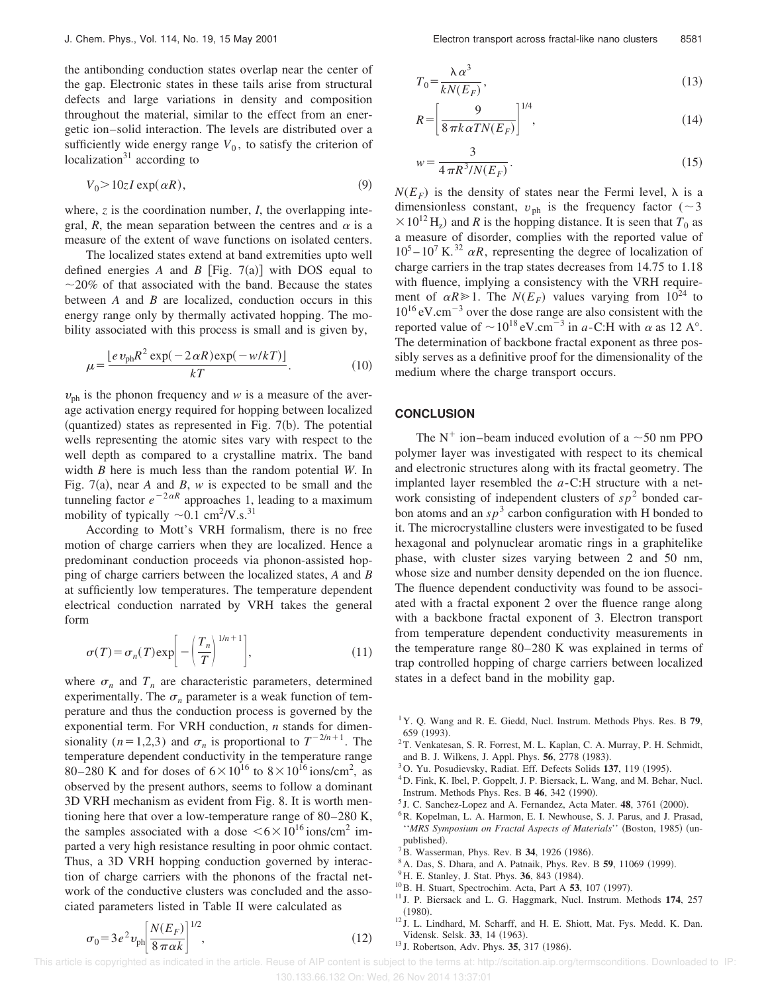the antibonding conduction states overlap near the center of the gap. Electronic states in these tails arise from structural defects and large variations in density and composition throughout the material, similar to the effect from an energetic ion–solid interaction. The levels are distributed over a sufficiently wide energy range  $V_0$ , to satisfy the criterion of localization $31$  according to

$$
V_0 > 10zI \exp(\alpha R),\tag{9}
$$

where, *z* is the coordination number, *I*, the overlapping integral, *R*, the mean separation between the centres and  $\alpha$  is a measure of the extent of wave functions on isolated centers.

The localized states extend at band extremities upto well defined energies *A* and *B* [Fig. 7(a)] with DOS equal to  $\sim$ 20% of that associated with the band. Because the states between *A* and *B* are localized, conduction occurs in this energy range only by thermally activated hopping. The mobility associated with this process is small and is given by,

$$
\mu = \frac{\left[ e \, v_{\rm ph} R^2 \exp(-2 \, \alpha R) \exp(-w/kT) \right]}{kT}.
$$
 (10)

 $v_{\rm ph}$  is the phonon frequency and *w* is a measure of the average activation energy required for hopping between localized (quantized) states as represented in Fig.  $7(b)$ . The potential wells representing the atomic sites vary with respect to the well depth as compared to a crystalline matrix. The band width *B* here is much less than the random potential *W*. In Fig. 7(a), near *A* and *B*, *w* is expected to be small and the tunneling factor  $e^{-2\alpha R}$  approaches 1, leading to a maximum mobility of typically  $\sim 0.1$  cm<sup>2</sup>/V.s.<sup>31</sup>

According to Mott's VRH formalism, there is no free motion of charge carriers when they are localized. Hence a predominant conduction proceeds via phonon-assisted hopping of charge carriers between the localized states, *A* and *B* at sufficiently low temperatures. The temperature dependent electrical conduction narrated by VRH takes the general form

$$
\sigma(T) = \sigma_n(T) \exp\left[-\left(\frac{T_n}{T}\right)^{1/n+1}\right],\tag{11}
$$

where  $\sigma_n$  and  $T_n$  are characteristic parameters, determined experimentally. The  $\sigma_n$  parameter is a weak function of temperature and thus the conduction process is governed by the exponential term. For VRH conduction, *n* stands for dimensionality (*n*=1,2,3) and  $\sigma_n$  is proportional to  $T^{-2/n+1}$ . The temperature dependent conductivity in the temperature range 80–280 K and for doses of  $6 \times 10^{16}$  to  $8 \times 10^{16}$  ions/cm<sup>2</sup>, as observed by the present authors, seems to follow a dominant 3D VRH mechanism as evident from Fig. 8. It is worth mentioning here that over a low-temperature range of 80–280 K, the samples associated with a dose  $\leq 6 \times 10^{16}$  ions/cm<sup>2</sup> imparted a very high resistance resulting in poor ohmic contact. Thus, a 3D VRH hopping conduction governed by interaction of charge carriers with the phonons of the fractal network of the conductive clusters was concluded and the associated parameters listed in Table II were calculated as

 $\sigma_0 = 3e^2v_{\rm ph}\left[\frac{N(E_F)}{8\pi\alpha k}\right]$ 

 $\frac{K-F}{8\pi\alpha k}$ 

1/2

$$
T_0 = \frac{\lambda \alpha^3}{kN(E_F)},\tag{13}
$$

$$
R = \left[\frac{9}{8\pi k \alpha TN(E_F)}\right]^{1/4},\tag{14}
$$

$$
w = \frac{3}{4\pi R^3 / N(E_F)}.
$$
\n(15)

 $N(E_F)$  is the density of states near the Fermi level,  $\lambda$  is a dimensionless constant,  $v_{\text{ph}}$  is the frequency factor ( $\sim$ 3)  $\times 10^{12}$  H<sub>z</sub>) and *R* is the hopping distance. It is seen that  $T_0$  as a measure of disorder, complies with the reported value of  $10^5 - 10^7$  K.<sup>32</sup>  $\alpha R$ , representing the degree of localization of charge carriers in the trap states decreases from 14.75 to 1.18 with fluence, implying a consistency with the VRH requirement of  $\alpha R \ge 1$ . The  $N(E_F)$  values varying from  $10^{24}$  to  $10^{16}$  eV.cm<sup>-3</sup> over the dose range are also consistent with the reported value of  $\sim 10^{18} \text{ eV.cm}^{-3}$  in *a*-C:H with  $\alpha$  as 12 A°. The determination of backbone fractal exponent as three possibly serves as a definitive proof for the dimensionality of the medium where the charge transport occurs.

## **CONCLUSION**

The N<sup>+</sup> ion–beam induced evolution of a  $\sim$ 50 nm PPO polymer layer was investigated with respect to its chemical and electronic structures along with its fractal geometry. The implanted layer resembled the *a*-C:H structure with a network consisting of independent clusters of  $sp<sup>2</sup>$  bonded carbon atoms and an  $sp^3$  carbon configuration with H bonded to it. The microcrystalline clusters were investigated to be fused hexagonal and polynuclear aromatic rings in a graphitelike phase, with cluster sizes varying between 2 and 50 nm, whose size and number density depended on the ion fluence. The fluence dependent conductivity was found to be associated with a fractal exponent 2 over the fluence range along with a backbone fractal exponent of 3. Electron transport from temperature dependent conductivity measurements in the temperature range 80–280 K was explained in terms of trap controlled hopping of charge carriers between localized states in a defect band in the mobility gap.

- <sup>1</sup>Y. Q. Wang and R. E. Giedd, Nucl. Instrum. Methods Phys. Res. B **79**, 659 (1993).
- <sup>2</sup>T. Venkatesan, S. R. Forrest, M. L. Kaplan, C. A. Murray, P. H. Schmidt, and B. J. Wilkens, J. Appl. Phys. 56, 2778 (1983).
- <sup>3</sup>O. Yu. Posudievsky, Radiat. Eff. Defects Solids 137, 119 (1995).
- <sup>4</sup>D. Fink, K. Ibel, P. Goppelt, J. P. Biersack, L. Wang, and M. Behar, Nucl. Instrum. Methods Phys. Res. B 46, 342 (1990).
- <sup>5</sup> J. C. Sanchez-Lopez and A. Fernandez, Acta Mater. 48, 3761 (2000).
- <sup>6</sup>R. Kopelman, L. A. Harmon, E. I. Newhouse, S. J. Parus, and J. Prasad, ''*MRS Symposium on Fractal Aspects of Materials*'' (Boston, 1985) (unpublished).
- <sup>7</sup>B. Wasserman, Phys. Rev. B 34, 1926 (1986).
- <sup>8</sup> A. Das, S. Dhara, and A. Patnaik, Phys. Rev. B **59**, 11069 (1999).
- <sup>9</sup>H. E. Stanley, J. Stat. Phys. 36, 843 (1984).
- <sup>10</sup> B. H. Stuart, Spectrochim. Acta, Part A **53**, 107 (1997).
- <sup>11</sup> J. P. Biersack and L. G. Haggmark, Nucl. Instrum. Methods **174**, 257  $(1980).$
- <sup>12</sup> J. L. Lindhard, M. Scharff, and H. E. Shiott, Mat. Fys. Medd. K. Dan. Vidensk. Selsk. 33, 14 (1963).
- <sup>13</sup> J. Robertson, Adv. Phys. **35**, 317 (1986).

 $(12)$